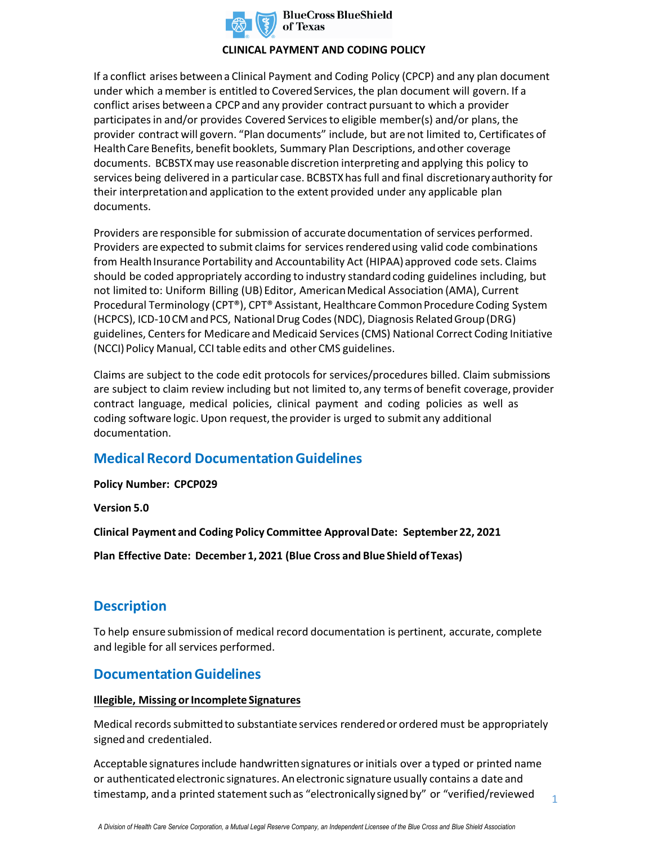

### **CLINICAL PAYMENT AND CODING POLICY**

If a conflict arises between a Clinical Payment and Coding Policy (CPCP) and any plan document under which a member is entitled to Covered Services, the plan document will govern. If a conflict arises between a CPCP and any provider contract pursuant to which a provider participates in and/or provides Covered Services to eligible member(s) and/or plans, the provider contract will govern. "Plan documents" include, but are not limited to, Certificates of Health Care Benefits, benefit booklets, Summary Plan Descriptions, and other coverage documents. BCBSTXmay use reasonable discretion interpreting and applying this policy to services being delivered in a particular case. BCBSTXhas full and final discretionary authority for their interpretation and application to the extent provided under any applicable plan documents.

Providers are responsible for submission of accurate documentation of services performed. Providers are expected to submit claims for services rendered using valid code combinations from Health Insurance Portability and Accountability Act (HIPAA) approved code sets. Claims should be coded appropriately according to industry standard coding guidelines including, but not limited to: Uniform Billing (UB) Editor, American Medical Association (AMA), Current Procedural Terminology (CPT®), CPT® Assistant, Healthcare Common Procedure Coding System (HCPCS), ICD-10 CM and PCS, National Drug Codes (NDC), Diagnosis Related Group (DRG) guidelines, Centers for Medicare and Medicaid Services (CMS) National Correct Coding Initiative (NCCI) Policy Manual, CCI table edits and other CMS guidelines.

Claims are subject to the code edit protocols for services/procedures billed. Claim submissions are subject to claim review including but not limited to, any terms of benefit coverage, provider contract language, medical policies, clinical payment and coding policies as well as coding software logic. Upon request, the provider is urged to submit any additional documentation.

## **Medical Record Documentation Guidelines**

**Policy Number: CPCP029** 

**Version 5.0** 

**Clinical Payment and Coding Policy Committee Approval Date: September 22, 2021** 

**Plan Effective Date: December 1, 2021 (Blue Cross and Blue Shield of Texas)**

# **Description**

To help ensure submission of medical record documentation is pertinent, accurate, complete and legible for all services performed.

## **Documentation Guidelines**

### **Illegible, Missing or Incomplete Signatures**

Medical records submitted to substantiate services rendered or ordered must be appropriately signed and credentialed.

Acceptable signatures include handwritten signatures or initials over a typed or printed name or authenticated electronic signatures. An electronic signature usually contains a date and timestamp, and a printed statement such as "electronically signed by" or "verified/reviewed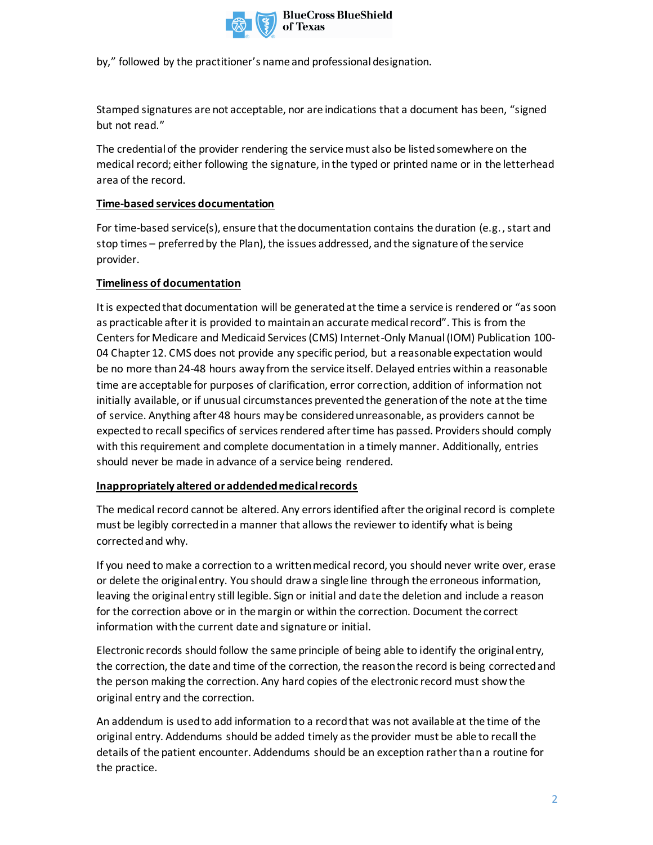

by," followed by the practitioner's name and professional designation.

Stamped signatures are not acceptable, nor are indications that a document has been, "signed but not read."

The credential of the provider rendering the service must also be listed somewhere on the medical record; either following the signature, in the typed or printed name or in the letterhead area of the record.

### **Time-based services documentation**

For time-based service(s), ensure that the documentation contains the duration (e.g., start and stop times – preferred by the Plan), the issues addressed, and the signature of the service provider.

### **Timeliness of documentation**

It is expected that documentation will be generated at the time a service is rendered or "as soon as practicable after it is provided to maintain an accurate medical record". This is from the Centers for Medicare and Medicaid Services (CMS) Internet-Only Manual (IOM) Publication 100- 04 Chapter 12. CMS does not provide any specific period, but a reasonable expectation would be no more than 24-48 hours away from the service itself. Delayed entries within a reasonable time are acceptable for purposes of clarification, error correction, addition of information not initially available, or if unusual circumstances prevented the generation of the note at the time of service. Anything after 48 hours may be considered unreasonable, as providers cannot be expected to recall specifics of services rendered after time has passed. Providers should comply with this requirement and complete documentation in a timely manner. Additionally, entries should never be made in advance of a service being rendered.

### **Inappropriately altered or addended medical records**

The medical record cannot be altered. Any errors identified after the original record is complete must be legibly corrected in a manner that allows the reviewer to identify what is being corrected and why.

If you need to make a correction to a written medical record, you should never write over, erase or delete the original entry. You should draw a single line through the erroneous information, leaving the original entry still legible. Sign or initial and date the deletion and include a reason for the correction above or in the margin or within the correction. Document the correct information with the current date and signature or initial.

Electronic records should follow the same principle of being able to identify the original entry, the correction, the date and time of the correction, the reason the record is being corrected and the person making the correction. Any hard copies of the electronic record must show the original entry and the correction.

An addendum is used to add information to a record that was not available at the time of the original entry. Addendums should be added timely as the provider must be able to recall the details of the patient encounter. Addendums should be an exception rather than a routine for the practice.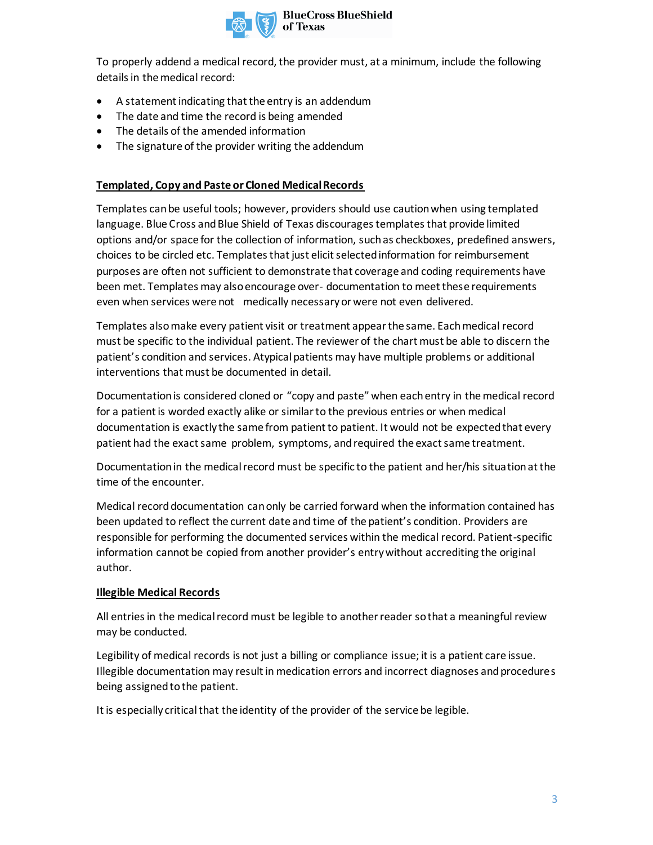

To properly addend a medical record, the provider must, at a minimum, include the following details in the medical record:

- A statement indicating that the entry is an addendum
- The date and time the record is being amended
- The details of the amended information
- The signature of the provider writing the addendum

### **Templated, Copy and Paste or Cloned Medical Records**

Templates can be useful tools; however, providers should use caution when using templated language. Blue Cross and Blue Shield of Texas discourages templates that provide limited options and/or space for the collection of information, such as checkboxes, predefined answers, choices to be circled etc. Templates that just elicit selected information for reimbursement purposes are often not sufficient to demonstrate that coverage and coding requirements have been met. Templates may also encourage over- documentation to meet these requirements even when services were not medically necessary or were not even delivered.

Templates also make every patient visit or treatment appear the same. Each medical record must be specific to the individual patient. The reviewer of the chart must be able to discern the patient's condition and services. Atypical patients may have multiple problems or additional interventions that must be documented in detail.

Documentation is considered cloned or "copy and paste" when each entry in the medical record for a patient is worded exactly alike or similar to the previous entries or when medical documentation is exactly the same from patient to patient. It would not be expected that every patient had the exact same problem, symptoms, and required the exact same treatment.

Documentation in the medical record must be specific to the patient and her/his situation at the time of the encounter.

Medical record documentation can only be carried forward when the information contained has been updated to reflect the current date and time of the patient's condition. Providers are responsible for performing the documented services within the medical record. Patient-specific information cannot be copied from another provider's entry without accrediting the original author.

### **Illegible Medical Records**

All entries in the medical record must be legible to another reader so that a meaningful review may be conducted.

Legibility of medical records is not just a billing or compliance issue; it is a patient care issue. Illegible documentation may result in medication errors and incorrect diagnoses and procedures being assigned to the patient.

It is especially critical that the identity of the provider of the service be legible.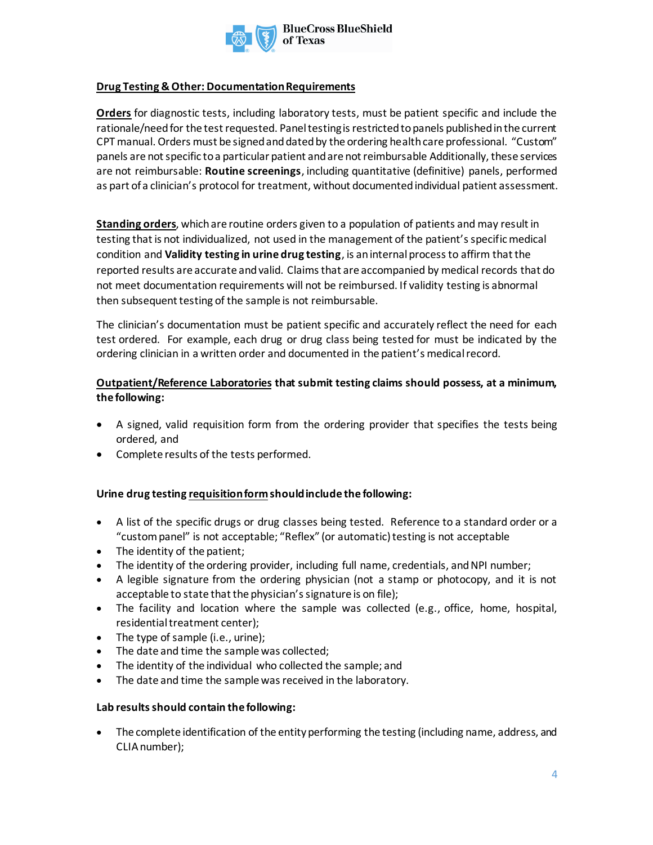

### **Drug Testing & Other: Documentation Requirements**

**Orders** for diagnostic tests, including laboratory tests, must be patient specific and include the rationale/need for the test requested. Panel testing is restricted to panels published in the current CPT manual. Orders must be signed and dated by the ordering health care professional. "Custom" panels are not specific to a particular patient and are not reimbursable Additionally, these services are not reimbursable: **Routine screenings**, including quantitative (definitive) panels, performed as part of a clinician's protocol for treatment, without documented individual patient assessment.

**Standing orders**, which are routine orders given to a population of patients and may result in testing that is not individualized, not used in the management of the patient's specific medical condition and **Validity testing in urine drug testing**, is an internal process to affirm that the reported results are accurate and valid. Claims that are accompanied by medical records that do not meet documentation requirements will not be reimbursed. If validity testing is abnormal then subsequent testing of the sample is not reimbursable.

The clinician's documentation must be patient specific and accurately reflect the need for each test ordered. For example, each drug or drug class being tested for must be indicated by the ordering clinician in a written order and documented in the patient's medical record.

### **Outpatient/Reference Laboratories that submit testing claims should possess, at a minimum, the following:**

- A signed, valid requisition form from the ordering provider that specifies the tests being ordered, and
- Complete results of the tests performed.

### **Urine drug testing requisition formshould include the following:**

- A list of the specific drugs or drug classes being tested. Reference to a standard order or a "custom panel" is not acceptable; "Reflex" (or automatic) testing is not acceptable
- The identity of the patient;
- The identity of the ordering provider, including full name, credentials, and NPI number;
- A legible signature from the ordering physician (not a stamp or photocopy, and it is not acceptable to state that the physician's signature is on file);
- The facility and location where the sample was collected (e.g., office, home, hospital, residential treatment center);
- The type of sample (i.e., urine);
- The date and time the sample was collected;
- The identity of the individual who collected the sample; and
- The date and time the sample was received in the laboratory.

### **Lab results should contain the following:**

• The complete identification of the entity performing the testing (including name, address, and CLIA number);